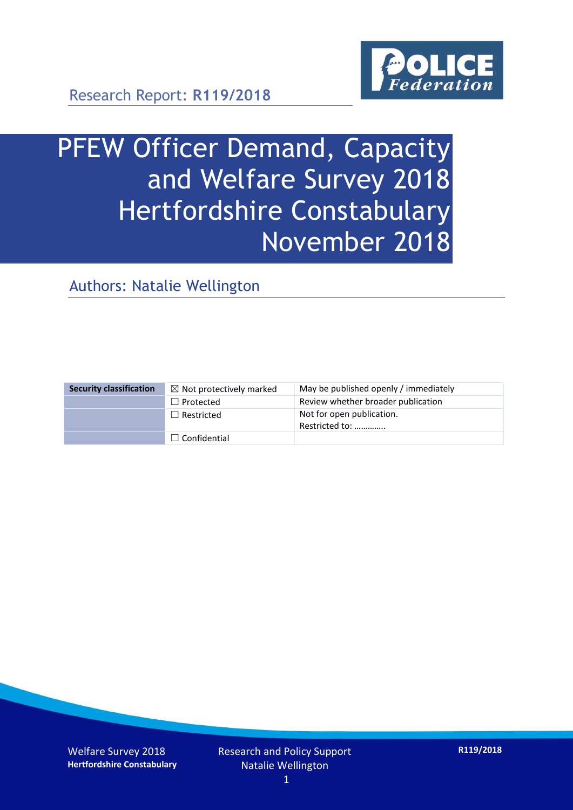

# PFEW Officer Demand, Capacity and Welfare Survey 2018 Hertfordshire Constabulary November 2018

Authors: Natalie Wellington

| <b>Security classification</b> | $\boxtimes$ Not protectively marked | May be published openly / immediately       |
|--------------------------------|-------------------------------------|---------------------------------------------|
|                                | $\Box$ Protected                    | Review whether broader publication          |
|                                | $\Box$ Restricted                   | Not for open publication.<br>Restricted to: |
|                                | $\Box$ Confidential                 |                                             |

Welfare Survey 2018 **Hertfordshire Constabulary** Research and Policy Support Natalie Wellington

**R119/2018**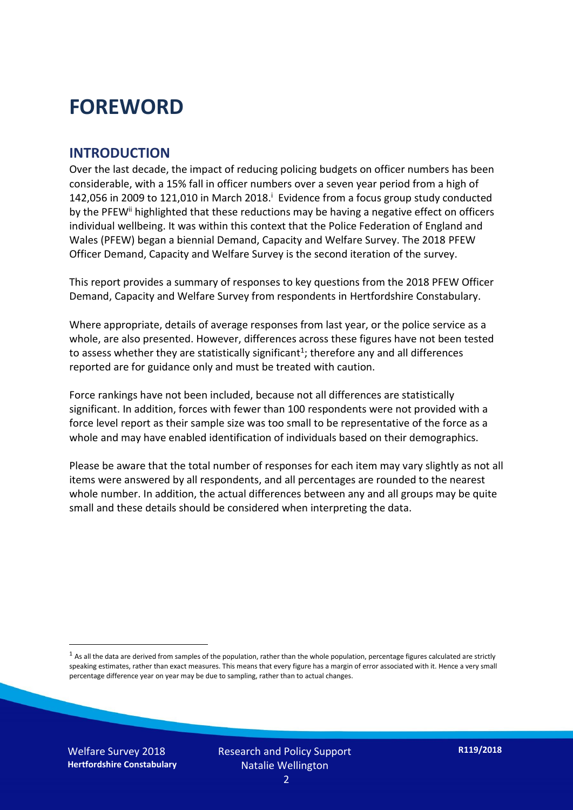## **FOREWORD**

#### **INTRODUCTION**

Over the last decade, the impact of reducing policing budgets on officer numbers has been considerable, with a 15% fall in officer numbers over a seven year period from a high of 142,056 in 2009 to 121,010 in March 2018. $^{\mathrm{i}}$  Evidence from a focus group study conducted by the PFEW<sup>ii</sup> highlighted that these reductions may be having a negative effect on officers individual wellbeing. It was within this context that the Police Federation of England and Wales (PFEW) began a biennial Demand, Capacity and Welfare Survey. The 2018 PFEW Officer Demand, Capacity and Welfare Survey is the second iteration of the survey.

This report provides a summary of responses to key questions from the 2018 PFEW Officer Demand, Capacity and Welfare Survey from respondents in Hertfordshire Constabulary.

Where appropriate, details of average responses from last year, or the police service as a whole, are also presented. However, differences across these figures have not been tested to assess whether they are statistically significant<sup>1</sup>; therefore any and all differences reported are for guidance only and must be treated with caution.

Force rankings have not been included, because not all differences are statistically significant. In addition, forces with fewer than 100 respondents were not provided with a force level report as their sample size was too small to be representative of the force as a whole and may have enabled identification of individuals based on their demographics.

Please be aware that the total number of responses for each item may vary slightly as not all items were answered by all respondents, and all percentages are rounded to the nearest whole number. In addition, the actual differences between any and all groups may be quite small and these details should be considered when interpreting the data.

Welfare Survey 2018 **Hertfordshire Constabulary**

-

 $<sup>1</sup>$  As all the data are derived from samples of the population, rather than the whole population, percentage figures calculated are strictly</sup> speaking estimates, rather than exact measures. This means that every figure has a margin of error associated with it. Hence a very small percentage difference year on year may be due to sampling, rather than to actual changes.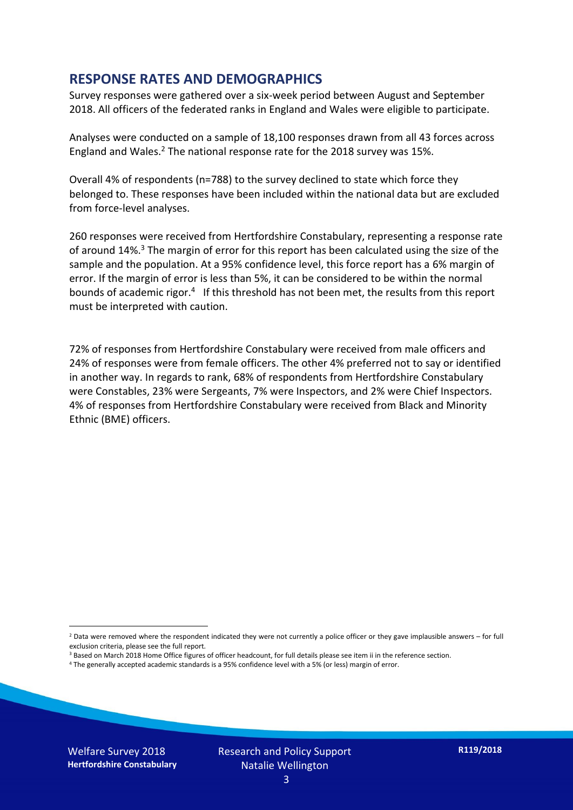#### **RESPONSE RATES AND DEMOGRAPHICS**

Survey responses were gathered over a six-week period between August and September 2018. All officers of the federated ranks in England and Wales were eligible to participate.

Analyses were conducted on a sample of 18,100 responses drawn from all 43 forces across England and Wales.<sup>2</sup> The national response rate for the 2018 survey was 15%.

Overall 4% of respondents (n=788) to the survey declined to state which force they belonged to. These responses have been included within the national data but are excluded from force-level analyses.

260 responses were received from Hertfordshire Constabulary, representing a response rate of around 14%.<sup>3</sup> The margin of error for this report has been calculated using the size of the sample and the population. At a 95% confidence level, this force report has a 6% margin of error. If the margin of error is less than 5%, it can be considered to be within the normal bounds of academic rigor.<sup>4</sup> If this threshold has not been met, the results from this report must be interpreted with caution.

72% of responses from Hertfordshire Constabulary were received from male officers and 24% of responses were from female officers. The other 4% preferred not to say or identified in another way. In regards to rank, 68% of respondents from Hertfordshire Constabulary were Constables, 23% were Sergeants, 7% were Inspectors, and 2% were Chief Inspectors. 4% of responses from Hertfordshire Constabulary were received from Black and Minority Ethnic (BME) officers.

- <sup>3</sup> Based on March 2018 Home Office figures of officer headcount, for full details please see item ii in the reference section.
- <sup>4</sup> The generally accepted academic standards is a 95% confidence level with a 5% (or less) margin of error.

Welfare Survey 2018 **Hertfordshire Constabulary**

-

Research and Policy Support Natalie Wellington

 $2$  Data were removed where the respondent indicated they were not currently a police officer or they gave implausible answers – for full exclusion criteria, please see the full report.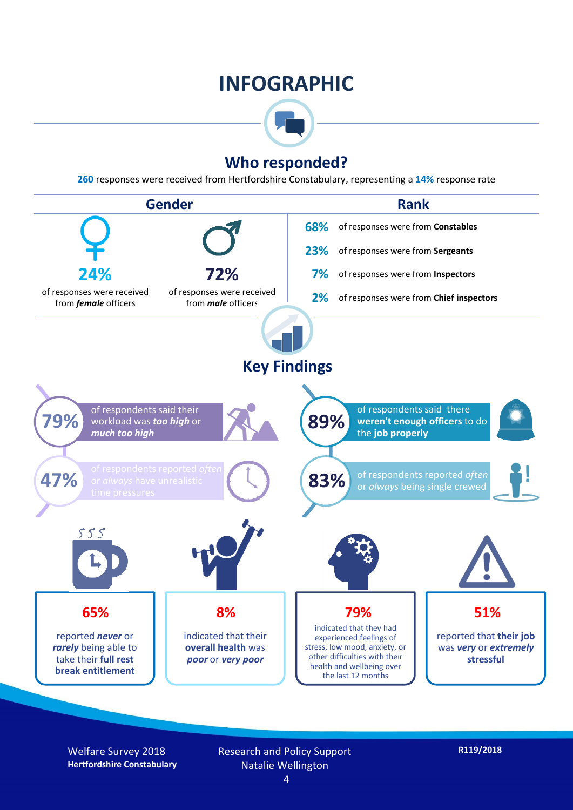### **INFOGRAPHIC**



### **Who responded?**

**260** responses were received from Hertfordshire Constabulary, representing a **14%** response rate



Welfare Survey 2018 **Hertfordshire Constabulary** Research and Policy Support Natalie Wellington

4

**R119/2018**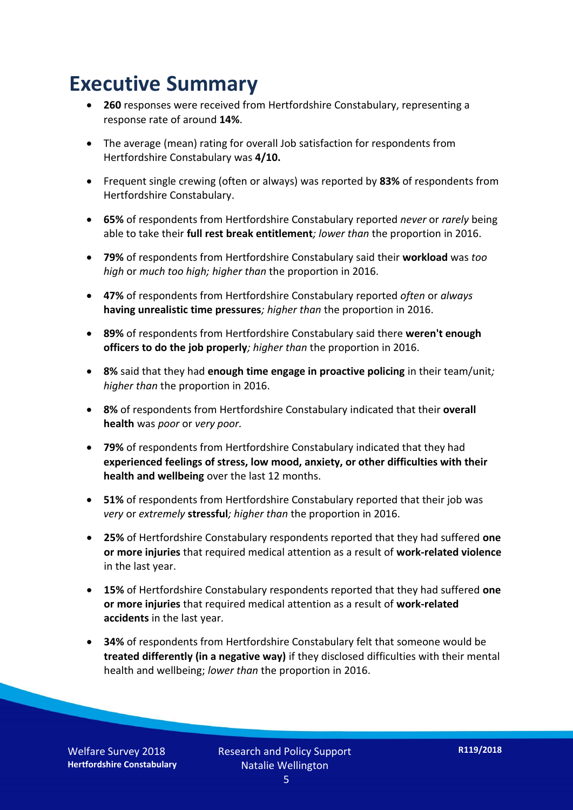## **Executive Summary**

- **260** responses were received from Hertfordshire Constabulary, representing a response rate of around **14%**.
- The average (mean) rating for overall Job satisfaction for respondents from Hertfordshire Constabulary was **4/10.**
- Frequent single crewing (often or always) was reported by **83%** of respondents from Hertfordshire Constabulary.
- **65%** of respondents from Hertfordshire Constabulary reported *never* or *rarely* being able to take their **full rest break entitlement***; lower than* the proportion in 2016.
- **79%** of respondents from Hertfordshire Constabulary said their **workload** was *too high* or *much too high; higher than* the proportion in 2016.
- **47%** of respondents from Hertfordshire Constabulary reported *often* or *always* **having unrealistic time pressures***; higher than* the proportion in 2016.
- **89%** of respondents from Hertfordshire Constabulary said there **weren't enough officers to do the job properly***; higher than* the proportion in 2016.
- **8%** said that they had **enough time engage in proactive policing** in their team/unit*; higher than* the proportion in 2016.
- **8%** of respondents from Hertfordshire Constabulary indicated that their **overall health** was *poor* or *very poor.*
- **79%** of respondents from Hertfordshire Constabulary indicated that they had **experienced feelings of stress, low mood, anxiety, or other difficulties with their health and wellbeing** over the last 12 months.
- **51%** of respondents from Hertfordshire Constabulary reported that their job was *very* or *extremely* **stressful***; higher than* the proportion in 2016.
- **25%** of Hertfordshire Constabulary respondents reported that they had suffered **one or more injuries** that required medical attention as a result of **work-related violence**  in the last year.
- **15%** of Hertfordshire Constabulary respondents reported that they had suffered **one or more injuries** that required medical attention as a result of **work-related accidents** in the last year.
- **34%** of respondents from Hertfordshire Constabulary felt that someone would be **treated differently (in a negative way)** if they disclosed difficulties with their mental health and wellbeing; *lower than* the proportion in 2016.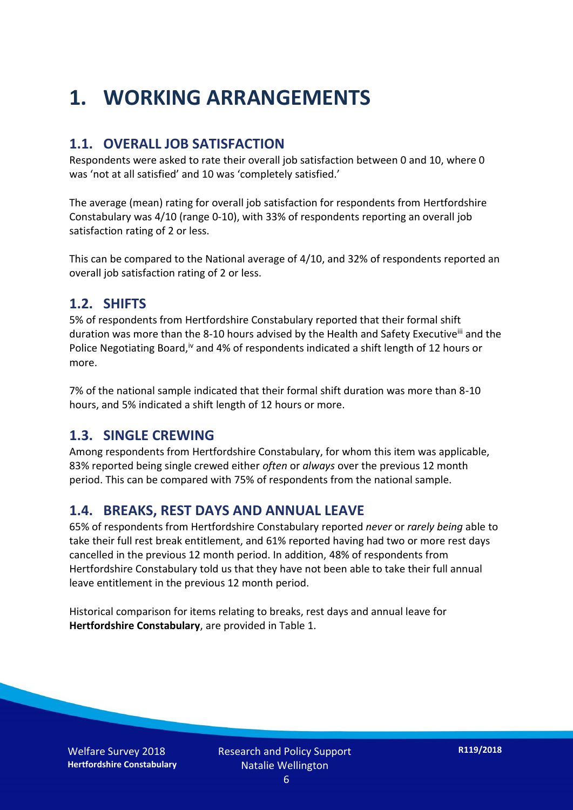## **1. WORKING ARRANGEMENTS**

#### **1.1. OVERALL JOB SATISFACTION**

Respondents were asked to rate their overall job satisfaction between 0 and 10, where 0 was 'not at all satisfied' and 10 was 'completely satisfied.'

The average (mean) rating for overall job satisfaction for respondents from Hertfordshire Constabulary was 4/10 (range 0-10), with 33% of respondents reporting an overall job satisfaction rating of 2 or less.

This can be compared to the National average of 4/10, and 32% of respondents reported an overall job satisfaction rating of 2 or less.

#### **1.2. SHIFTS**

5% of respondents from Hertfordshire Constabulary reported that their formal shift duration was more than the 8-10 hours advised by the Health and Safety Executive<sup>iii</sup> and the Police Negotiating Board,<sup>iv</sup> and 4% of respondents indicated a shift length of 12 hours or more.

7% of the national sample indicated that their formal shift duration was more than 8-10 hours, and 5% indicated a shift length of 12 hours or more.

#### **1.3. SINGLE CREWING**

Among respondents from Hertfordshire Constabulary, for whom this item was applicable, 83% reported being single crewed either *often* or *always* over the previous 12 month period. This can be compared with 75% of respondents from the national sample.

### **1.4. BREAKS, REST DAYS AND ANNUAL LEAVE**

65% of respondents from Hertfordshire Constabulary reported *never* or *rarely being* able to take their full rest break entitlement, and 61% reported having had two or more rest days cancelled in the previous 12 month period. In addition, 48% of respondents from Hertfordshire Constabulary told us that they have not been able to take their full annual leave entitlement in the previous 12 month period.

Historical comparison for items relating to breaks, rest days and annual leave for **Hertfordshire Constabulary**, are provided in Table 1.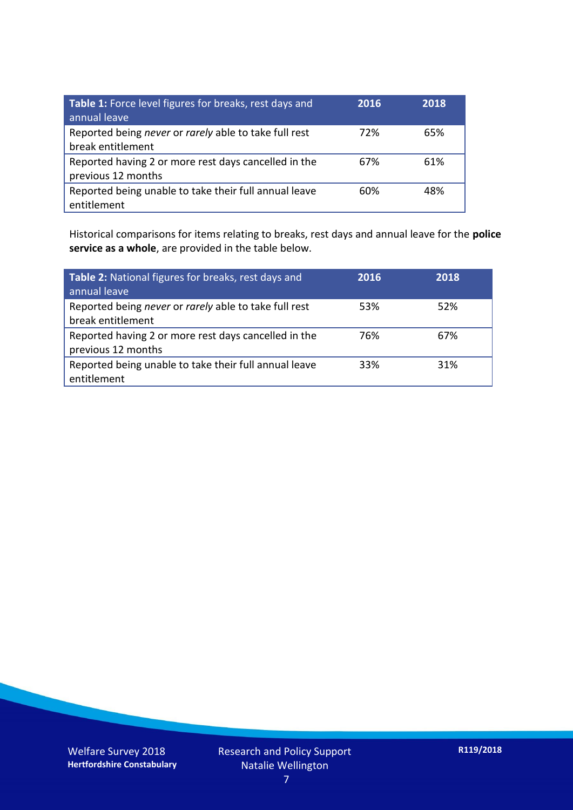| Table 1: Force level figures for breaks, rest days and<br>annual leave     | 2016 | 2018 |
|----------------------------------------------------------------------------|------|------|
| Reported being never or rarely able to take full rest<br>break entitlement | 72%  | 65%  |
| Reported having 2 or more rest days cancelled in the<br>previous 12 months | 67%  | 61%  |
| Reported being unable to take their full annual leave<br>entitlement       | 60%  | 48%  |

Historical comparisons for items relating to breaks, rest days and annual leave for the **police service as a whole**, are provided in the table below.

| Table 2: National figures for breaks, rest days and<br>annual leave        | 2016 | 2018 |
|----------------------------------------------------------------------------|------|------|
| Reported being never or rarely able to take full rest<br>break entitlement | 53%  | 52%  |
| Reported having 2 or more rest days cancelled in the<br>previous 12 months | 76%  | 67%  |
| Reported being unable to take their full annual leave<br>entitlement       | 33%  | 31%  |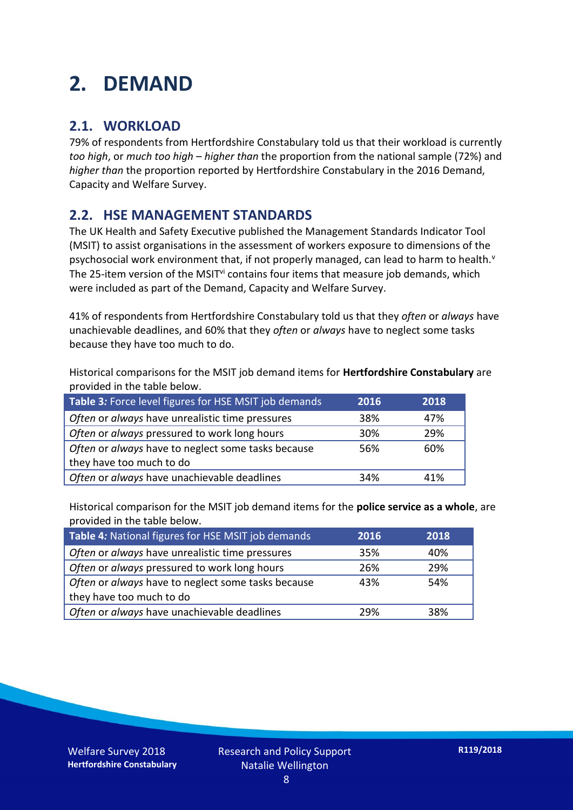## **2. DEMAND**

### **2.1. WORKLOAD**

79% of respondents from Hertfordshire Constabulary told us that their workload is currently *too high*, or *much too high* – *higher than* the proportion from the national sample (72%) and *higher than* the proportion reported by Hertfordshire Constabulary in the 2016 Demand, Capacity and Welfare Survey.

### **2.2. HSE MANAGEMENT STANDARDS**

The UK Health and Safety Executive published the Management Standards Indicator Tool (MSIT) to assist organisations in the assessment of workers exposure to dimensions of the psychosocial work environment that, if not properly managed, can lead to harm to health.<sup>v</sup> The 25-item version of the MSIT<sup>vi</sup> contains four items that measure job demands, which were included as part of the Demand, Capacity and Welfare Survey.

41% of respondents from Hertfordshire Constabulary told us that they *often* or *always* have unachievable deadlines, and 60% that they *often* or *always* have to neglect some tasks because they have too much to do.

Historical comparisons for the MSIT job demand items for **Hertfordshire Constabulary** are provided in the table below.

| Table 3: Force level figures for HSE MSIT job demands | 2016 | 2018 |
|-------------------------------------------------------|------|------|
| Often or always have unrealistic time pressures       | 38%  | 47%  |
| Often or always pressured to work long hours          | 30%  | 29%  |
| Often or always have to neglect some tasks because    | 56%  | 60%  |
| they have too much to do                              |      |      |
| Often or always have unachievable deadlines           | 34%  | 41%  |

Historical comparison for the MSIT job demand items for the **police service as a whole**, are provided in the table below.

| Table 4: National figures for HSE MSIT job demands | 2016 | 2018 |
|----------------------------------------------------|------|------|
| Often or always have unrealistic time pressures    | 35%  | 40%  |
| Often or always pressured to work long hours       | 26%  | 29%  |
| Often or always have to neglect some tasks because | 43%  | 54%  |
| they have too much to do                           |      |      |
| Often or always have unachievable deadlines        | 29%  | 38%  |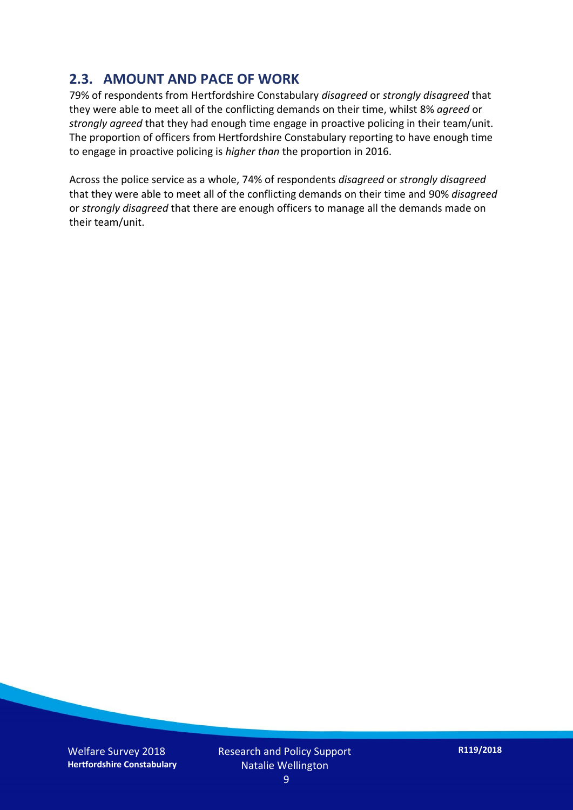### **2.3. AMOUNT AND PACE OF WORK**

79% of respondents from Hertfordshire Constabulary *disagreed* or *strongly disagreed* that they were able to meet all of the conflicting demands on their time, whilst 8% *agreed* or *strongly agreed* that they had enough time engage in proactive policing in their team/unit. The proportion of officers from Hertfordshire Constabulary reporting to have enough time to engage in proactive policing is *higher than* the proportion in 2016.

Across the police service as a whole, 74% of respondents *disagreed* or *strongly disagreed* that they were able to meet all of the conflicting demands on their time and 90% *disagreed* or *strongly disagreed* that there are enough officers to manage all the demands made on their team/unit.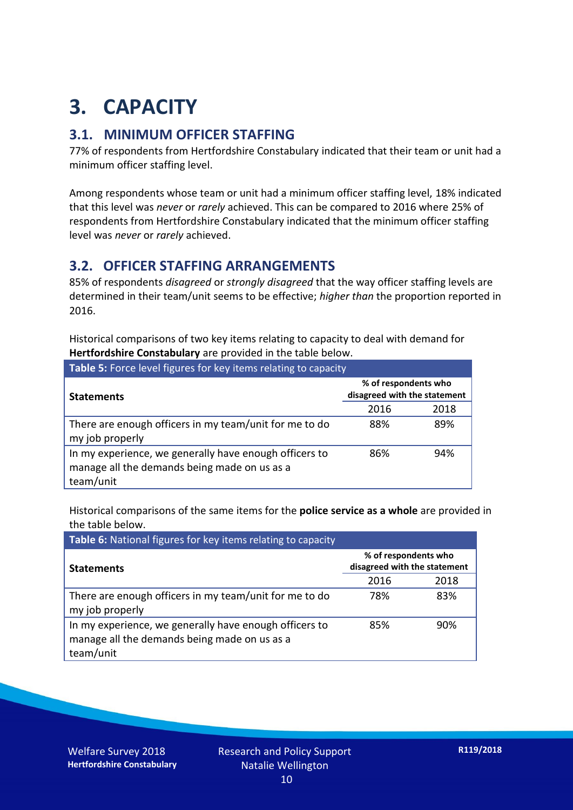## **3. CAPACITY**

### **3.1. MINIMUM OFFICER STAFFING**

77% of respondents from Hertfordshire Constabulary indicated that their team or unit had a minimum officer staffing level.

Among respondents whose team or unit had a minimum officer staffing level, 18% indicated that this level was *never* or *rarely* achieved. This can be compared to 2016 where 25% of respondents from Hertfordshire Constabulary indicated that the minimum officer staffing level was *never* or *rarely* achieved.

#### **3.2. OFFICER STAFFING ARRANGEMENTS**

85% of respondents *disagreed* or *strongly disagreed* that the way officer staffing levels are determined in their team/unit seems to be effective; *higher than* the proportion reported in 2016.

Historical comparisons of two key items relating to capacity to deal with demand for **Hertfordshire Constabulary** are provided in the table below.

| Table 5: Force level figures for key items relating to capacity                                                     |                                                      |      |  |
|---------------------------------------------------------------------------------------------------------------------|------------------------------------------------------|------|--|
| <b>Statements</b>                                                                                                   | % of respondents who<br>disagreed with the statement |      |  |
|                                                                                                                     | 2016                                                 | 2018 |  |
| There are enough officers in my team/unit for me to do<br>my job properly                                           | 88%                                                  | 89%  |  |
| In my experience, we generally have enough officers to<br>manage all the demands being made on us as a<br>team/unit | 86%                                                  | 94%  |  |

Historical comparisons of the same items for the **police service as a whole** are provided in the table below.

| Table 6: National figures for key items relating to capacity                                                        |                                                      |      |  |  |
|---------------------------------------------------------------------------------------------------------------------|------------------------------------------------------|------|--|--|
| <b>Statements</b>                                                                                                   | % of respondents who<br>disagreed with the statement |      |  |  |
|                                                                                                                     | 2016                                                 | 2018 |  |  |
| There are enough officers in my team/unit for me to do<br>my job properly                                           | 78%                                                  | 83%  |  |  |
| In my experience, we generally have enough officers to<br>manage all the demands being made on us as a<br>team/unit | 85%                                                  | 90%  |  |  |

Welfare Survey 2018 **Hertfordshire Constabulary**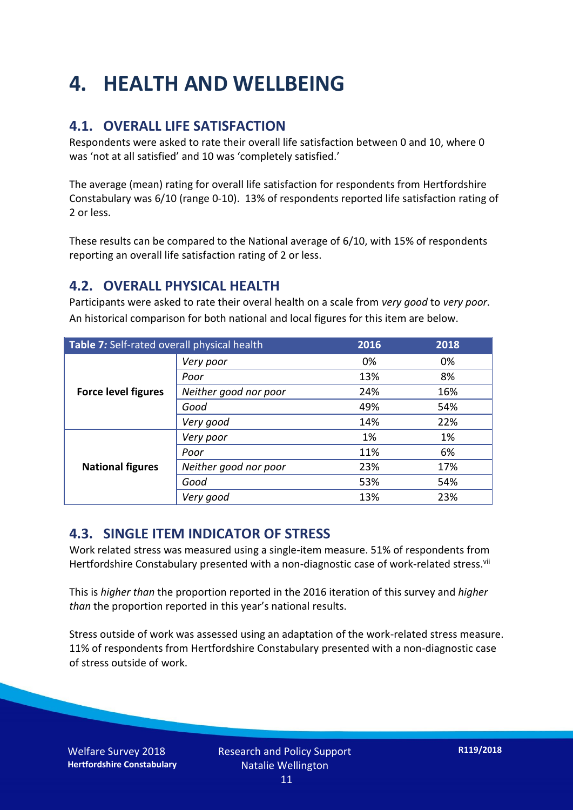## **4. HEALTH AND WELLBEING**

### **4.1. OVERALL LIFE SATISFACTION**

Respondents were asked to rate their overall life satisfaction between 0 and 10, where 0 was 'not at all satisfied' and 10 was 'completely satisfied.'

The average (mean) rating for overall life satisfaction for respondents from Hertfordshire Constabulary was 6/10 (range 0-10). 13% of respondents reported life satisfaction rating of 2 or less.

These results can be compared to the National average of 6/10, with 15% of respondents reporting an overall life satisfaction rating of 2 or less.

#### **4.2. OVERALL PHYSICAL HEALTH**

Participants were asked to rate their overal health on a scale from *very good* to *very poor*. An historical comparison for both national and local figures for this item are below.

| Table 7: Self-rated overall physical health |                       | 2016 | 2018 |
|---------------------------------------------|-----------------------|------|------|
| <b>Force level figures</b>                  | Very poor             | 0%   | 0%   |
|                                             | Poor                  | 13%  | 8%   |
|                                             | Neither good nor poor | 24%  | 16%  |
|                                             | Good                  | 49%  | 54%  |
|                                             | Very good             | 14%  | 22%  |
| <b>National figures</b>                     | Very poor             | 1%   | 1%   |
|                                             | Poor                  | 11%  | 6%   |
|                                             | Neither good nor poor | 23%  | 17%  |
|                                             | Good                  | 53%  | 54%  |
|                                             | Very good             | 13%  | 23%  |

### **4.3. SINGLE ITEM INDICATOR OF STRESS**

Work related stress was measured using a single-item measure. 51% of respondents from Hertfordshire Constabulary presented with a non-diagnostic case of work-related stress.<sup>vii</sup>

This is *higher than* the proportion reported in the 2016 iteration of this survey and *higher than* the proportion reported in this year's national results.

Stress outside of work was assessed using an adaptation of the work-related stress measure. 11% of respondents from Hertfordshire Constabulary presented with a non-diagnostic case of stress outside of work.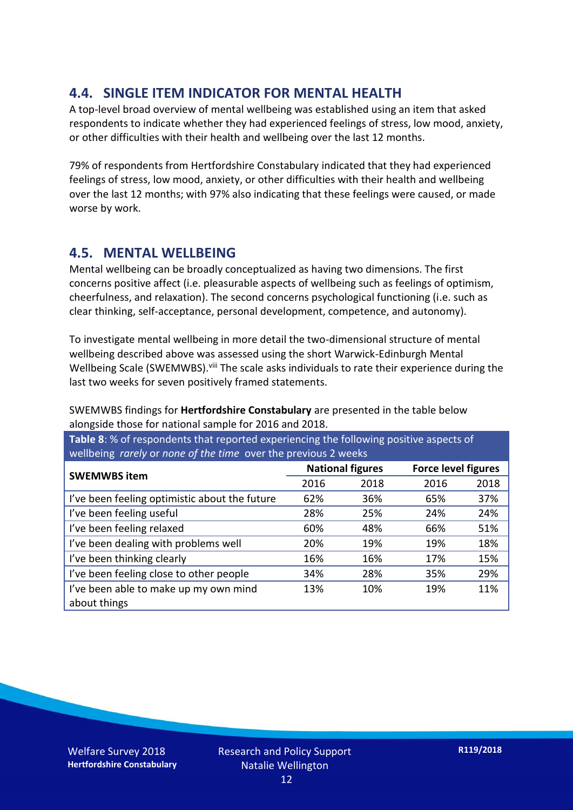### **4.4. SINGLE ITEM INDICATOR FOR MENTAL HEALTH**

A top-level broad overview of mental wellbeing was established using an item that asked respondents to indicate whether they had experienced feelings of stress, low mood, anxiety, or other difficulties with their health and wellbeing over the last 12 months.

79% of respondents from Hertfordshire Constabulary indicated that they had experienced feelings of stress, low mood, anxiety, or other difficulties with their health and wellbeing over the last 12 months; with 97% also indicating that these feelings were caused, or made worse by work.

### **4.5. MENTAL WELLBEING**

Mental wellbeing can be broadly conceptualized as having two dimensions. The first concerns positive affect (i.e. pleasurable aspects of wellbeing such as feelings of optimism, cheerfulness, and relaxation). The second concerns psychological functioning (i.e. such as clear thinking, self-acceptance, personal development, competence, and autonomy).

To investigate mental wellbeing in more detail the two-dimensional structure of mental wellbeing described above was assessed using the short Warwick-Edinburgh Mental Wellbeing Scale (SWEMWBS). viii The scale asks individuals to rate their experience during the last two weeks for seven positively framed statements.

SWEMWBS findings for **Hertfordshire Constabulary** are presented in the table below alongside those for national sample for 2016 and 2018.

**Table 8**: % of respondents that reported experiencing the following positive aspects of wellbeing *rarely* or *none of the time* over the previous 2 weeks

| <b>SWEMWBS item</b>                           | <b>National figures</b> |      | <b>Force level figures</b> |      |
|-----------------------------------------------|-------------------------|------|----------------------------|------|
|                                               | 2016                    | 2018 | 2016                       | 2018 |
| I've been feeling optimistic about the future | 62%                     | 36%  | 65%                        | 37%  |
| I've been feeling useful                      | 28%                     | 25%  | 24%                        | 24%  |
| I've been feeling relaxed                     | 60%                     | 48%  | 66%                        | 51%  |
| I've been dealing with problems well          | 20%                     | 19%  | 19%                        | 18%  |
| I've been thinking clearly                    | 16%                     | 16%  | 17%                        | 15%  |
| I've been feeling close to other people       | 34%                     | 28%  | 35%                        | 29%  |
| I've been able to make up my own mind         | 13%                     | 10%  | 19%                        | 11%  |
| about things                                  |                         |      |                            |      |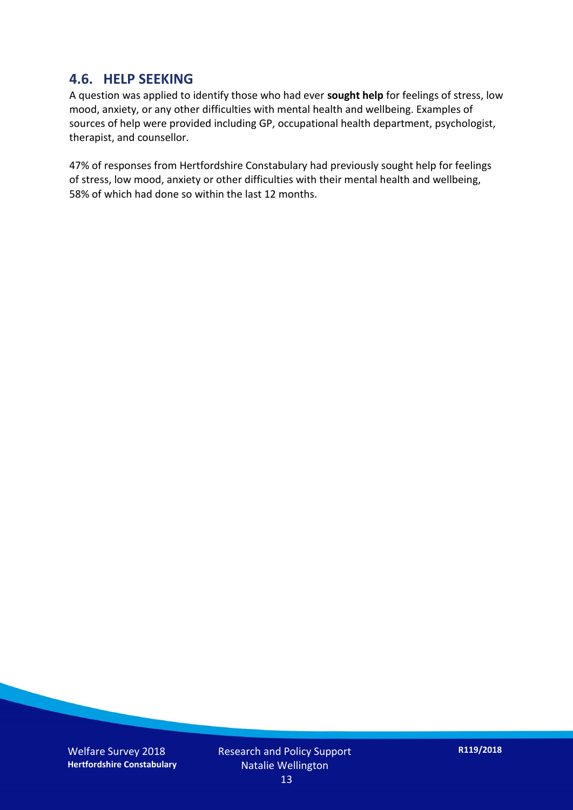#### **4.6. HELP SEEKING**

A question was applied to identify those who had ever **sought help** for feelings of stress, low mood, anxiety, or any other difficulties with mental health and wellbeing. Examples of sources of help were provided including GP, occupational health department, psychologist, therapist, and counsellor.

47% of responses from Hertfordshire Constabulary had previously sought help for feelings of stress, low mood, anxiety or other difficulties with their mental health and wellbeing, 58% of which had done so within the last 12 months.

Welfare Survey 2018 **Hertfordshire Constabulary** Research and Policy Support Natalie Wellington 13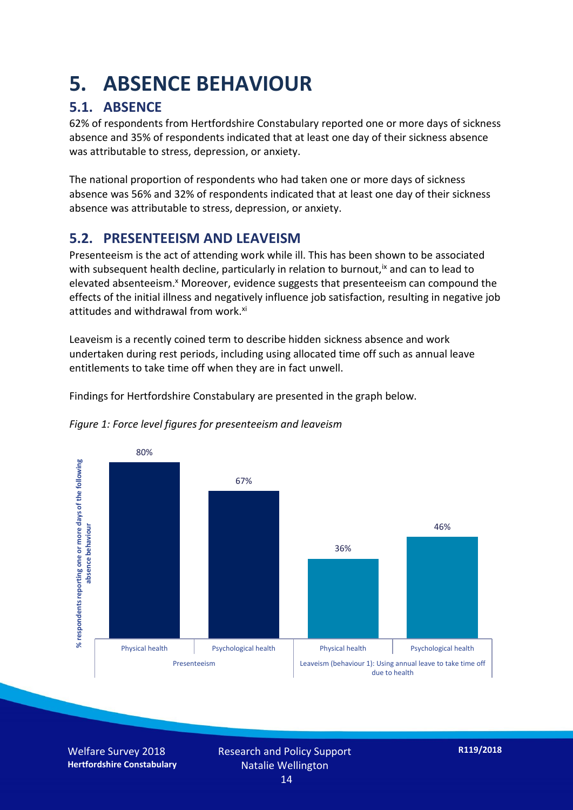## **5. ABSENCE BEHAVIOUR**

### **5.1. ABSENCE**

62% of respondents from Hertfordshire Constabulary reported one or more days of sickness absence and 35% of respondents indicated that at least one day of their sickness absence was attributable to stress, depression, or anxiety.

The national proportion of respondents who had taken one or more days of sickness absence was 56% and 32% of respondents indicated that at least one day of their sickness absence was attributable to stress, depression, or anxiety.

### **5.2. PRESENTEEISM AND LEAVEISM**

Presenteeism is the act of attending work while ill. This has been shown to be associated with subsequent health decline, particularly in relation to burnout,  $\alpha$  and can to lead to elevated absenteeism.<sup>x</sup> Moreover, evidence suggests that presenteeism can compound the effects of the initial illness and negatively influence job satisfaction, resulting in negative job attitudes and withdrawal from work.<sup>xi</sup>

Leaveism is a recently coined term to describe hidden sickness absence and work undertaken during rest periods, including using allocated time off such as annual leave entitlements to take time off when they are in fact unwell.

Findings for Hertfordshire Constabulary are presented in the graph below.



*Figure 1: Force level figures for presenteeism and leaveism*

Welfare Survey 2018 **Hertfordshire Constabulary**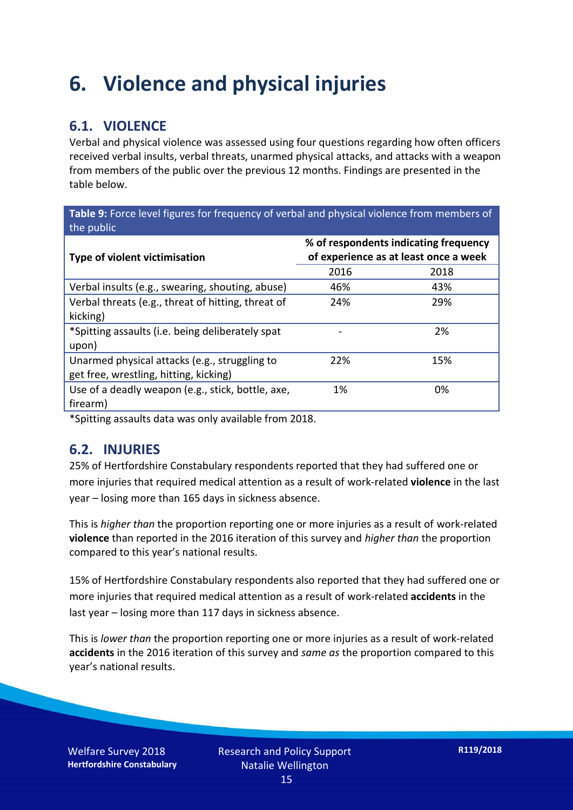## **6. Violence and physical injuries**

### **6.1. VIOLENCE**

Verbal and physical violence was assessed using four questions regarding how often officers received verbal insults, verbal threats, unarmed physical attacks, and attacks with a weapon from members of the public over the previous 12 months. Findings are presented in the table below.

**Table 9:** Force level figures for frequency of verbal and physical violence from members of the public

| Type of violent victimisation                      | % of respondents indicating frequency<br>of experience as at least once a week |      |  |
|----------------------------------------------------|--------------------------------------------------------------------------------|------|--|
|                                                    | 2016                                                                           | 2018 |  |
| Verbal insults (e.g., swearing, shouting, abuse)   | 46%                                                                            | 43%  |  |
| Verbal threats (e.g., threat of hitting, threat of | 24%                                                                            | 29%  |  |
| kicking)                                           |                                                                                |      |  |
| *Spitting assaults (i.e. being deliberately spat   |                                                                                | 2%   |  |
| upon)                                              |                                                                                |      |  |
| Unarmed physical attacks (e.g., struggling to      | 22%                                                                            | 15%  |  |
| get free, wrestling, hitting, kicking)             |                                                                                |      |  |
| Use of a deadly weapon (e.g., stick, bottle, axe,  | 1%                                                                             | 0%   |  |
| firearm)                                           |                                                                                |      |  |

\*Spitting assaults data was only available from 2018.

#### **6.2. INJURIES**

25% of Hertfordshire Constabulary respondents reported that they had suffered one or more injuries that required medical attention as a result of work-related **violence** in the last year – losing more than 165 days in sickness absence.

This is *higher than* the proportion reporting one or more injuries as a result of work-related **violence** than reported in the 2016 iteration of this survey and *higher than* the proportion compared to this year's national results.

15% of Hertfordshire Constabulary respondents also reported that they had suffered one or more injuries that required medical attention as a result of work-related **accidents** in the last year – losing more than 117 days in sickness absence.

This is *lower than* the proportion reporting one or more injuries as a result of work-related **accidents** in the 2016 iteration of this survey and *same as* the proportion compared to this year's national results.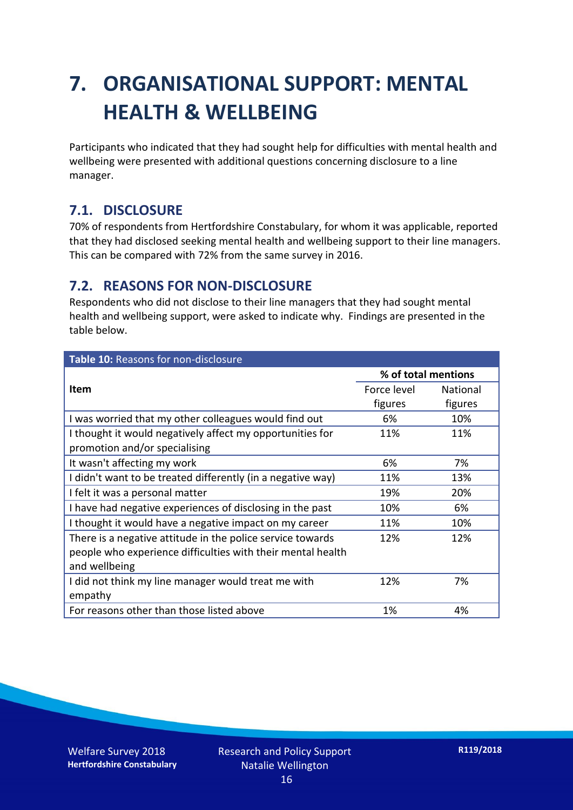## **7. ORGANISATIONAL SUPPORT: MENTAL HEALTH & WELLBEING**

Participants who indicated that they had sought help for difficulties with mental health and wellbeing were presented with additional questions concerning disclosure to a line manager.

#### **7.1. DISCLOSURE**

70% of respondents from Hertfordshire Constabulary, for whom it was applicable, reported that they had disclosed seeking mental health and wellbeing support to their line managers. This can be compared with 72% from the same survey in 2016.

#### **7.2. REASONS FOR NON-DISCLOSURE**

Respondents who did not disclose to their line managers that they had sought mental health and wellbeing support, were asked to indicate why. Findings are presented in the table below.

| Table 10: Reasons for non-disclosure                        |                     |                 |  |
|-------------------------------------------------------------|---------------------|-----------------|--|
|                                                             | % of total mentions |                 |  |
| <b>Item</b>                                                 | Force level         | <b>National</b> |  |
|                                                             | figures             | figures         |  |
| I was worried that my other colleagues would find out       | 6%                  | 10%             |  |
| I thought it would negatively affect my opportunities for   | 11%                 | 11%             |  |
| promotion and/or specialising                               |                     |                 |  |
| It wasn't affecting my work                                 | 6%                  | 7%              |  |
| I didn't want to be treated differently (in a negative way) | 11%                 | 13%             |  |
| I felt it was a personal matter                             | 19%                 | 20%             |  |
| I have had negative experiences of disclosing in the past   | 10%                 | 6%              |  |
| I thought it would have a negative impact on my career      | 11%                 | 10%             |  |
| There is a negative attitude in the police service towards  | 12%                 | 12%             |  |
| people who experience difficulties with their mental health |                     |                 |  |
| and wellbeing                                               |                     |                 |  |
| I did not think my line manager would treat me with         | 12%                 | 7%              |  |
| empathy                                                     |                     |                 |  |
| For reasons other than those listed above                   | 1%                  | 4%              |  |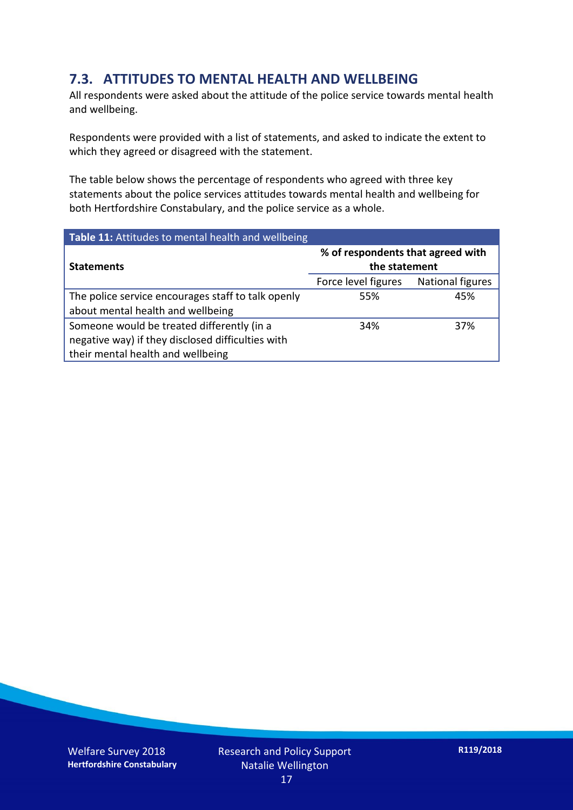### **7.3. ATTITUDES TO MENTAL HEALTH AND WELLBEING**

All respondents were asked about the attitude of the police service towards mental health and wellbeing.

Respondents were provided with a list of statements, and asked to indicate the extent to which they agreed or disagreed with the statement.

The table below shows the percentage of respondents who agreed with three key statements about the police services attitudes towards mental health and wellbeing for both Hertfordshire Constabulary, and the police service as a whole.

| Table 11: Attitudes to mental health and wellbeing |                                                    |                         |  |
|----------------------------------------------------|----------------------------------------------------|-------------------------|--|
| <b>Statements</b>                                  | % of respondents that agreed with<br>the statement |                         |  |
|                                                    | Force level figures                                | <b>National figures</b> |  |
| The police service encourages staff to talk openly | 55%                                                | 45%                     |  |
| about mental health and wellbeing                  |                                                    |                         |  |
| Someone would be treated differently (in a         | 34%                                                | 37%                     |  |
| negative way) if they disclosed difficulties with  |                                                    |                         |  |
| their mental health and wellbeing                  |                                                    |                         |  |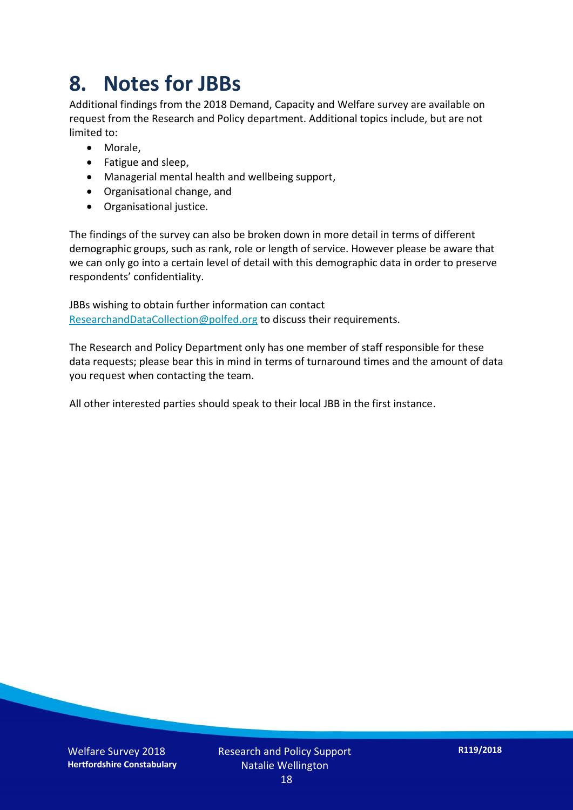## **8. Notes for JBBs**

Additional findings from the 2018 Demand, Capacity and Welfare survey are available on request from the Research and Policy department. Additional topics include, but are not limited to:

- Morale,
- Fatigue and sleep,
- Managerial mental health and wellbeing support,
- Organisational change, and
- Organisational justice.

The findings of the survey can also be broken down in more detail in terms of different demographic groups, such as rank, role or length of service. However please be aware that we can only go into a certain level of detail with this demographic data in order to preserve respondents' confidentiality.

JBBs wishing to obtain further information can contact [ResearchandDataCollection@polfed.org](mailto:ResearchandDataCollection@polfed.org) to discuss their requirements.

The Research and Policy Department only has one member of staff responsible for these data requests; please bear this in mind in terms of turnaround times and the amount of data you request when contacting the team.

All other interested parties should speak to their local JBB in the first instance.